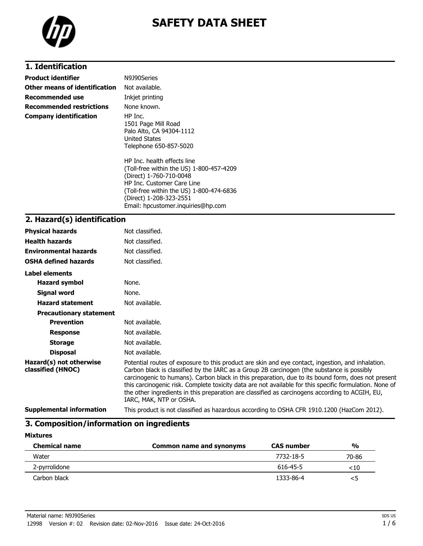

# **SAFETY DATA SHEET**

### **1. Identification**

| <b>Product identifier</b>     | N9J90Series                                                                                                                                                                                                                                   |
|-------------------------------|-----------------------------------------------------------------------------------------------------------------------------------------------------------------------------------------------------------------------------------------------|
| Other means of identification | Not available.                                                                                                                                                                                                                                |
| Recommended use               | Inkjet printing                                                                                                                                                                                                                               |
| Recommended restrictions      | None known.                                                                                                                                                                                                                                   |
| <b>Company identification</b> | HP Inc.<br>1501 Page Mill Road<br>Palo Alto, CA 94304-1112<br>United States<br>Telephone 650-857-5020                                                                                                                                         |
|                               | HP Inc. health effects line<br>(Toll-free within the US) 1-800-457-4209<br>(Direct) 1-760-710-0048<br>HP Inc. Customer Care Line<br>(Toll-free within the US) 1-800-474-6836<br>(Direct) 1-208-323-2551<br>Email: hpcustomer.inquiries@hp.com |

#### **2. Hazard(s) identification**

| <b>Physical hazards</b>                      | Not classified.                                                                                                                                                                                                                                                                                                                                                                                                                                                                                                                                |
|----------------------------------------------|------------------------------------------------------------------------------------------------------------------------------------------------------------------------------------------------------------------------------------------------------------------------------------------------------------------------------------------------------------------------------------------------------------------------------------------------------------------------------------------------------------------------------------------------|
| <b>Health hazards</b>                        | Not classified.                                                                                                                                                                                                                                                                                                                                                                                                                                                                                                                                |
| <b>Environmental hazards</b>                 | Not classified.                                                                                                                                                                                                                                                                                                                                                                                                                                                                                                                                |
| <b>OSHA defined hazards</b>                  | Not classified.                                                                                                                                                                                                                                                                                                                                                                                                                                                                                                                                |
| Label elements                               |                                                                                                                                                                                                                                                                                                                                                                                                                                                                                                                                                |
| <b>Hazard symbol</b>                         | None.                                                                                                                                                                                                                                                                                                                                                                                                                                                                                                                                          |
| Signal word                                  | None.                                                                                                                                                                                                                                                                                                                                                                                                                                                                                                                                          |
| <b>Hazard statement</b>                      | Not available.                                                                                                                                                                                                                                                                                                                                                                                                                                                                                                                                 |
| <b>Precautionary statement</b>               |                                                                                                                                                                                                                                                                                                                                                                                                                                                                                                                                                |
| <b>Prevention</b>                            | Not available.                                                                                                                                                                                                                                                                                                                                                                                                                                                                                                                                 |
| <b>Response</b>                              | Not available.                                                                                                                                                                                                                                                                                                                                                                                                                                                                                                                                 |
| <b>Storage</b>                               | Not available.                                                                                                                                                                                                                                                                                                                                                                                                                                                                                                                                 |
| <b>Disposal</b>                              | Not available.                                                                                                                                                                                                                                                                                                                                                                                                                                                                                                                                 |
| Hazard(s) not otherwise<br>classified (HNOC) | Potential routes of exposure to this product are skin and eye contact, ingestion, and inhalation.<br>Carbon black is classified by the IARC as a Group 2B carcinogen (the substance is possibly<br>carcinogenic to humans). Carbon black in this preparation, due to its bound form, does not present<br>this carcinogenic risk. Complete toxicity data are not available for this specific formulation. None of<br>the other ingredients in this preparation are classified as carcinogens according to ACGIH, EU,<br>IARC, MAK, NTP or OSHA. |
| <b>Supplemental information</b>              | This product is not classified as hazardous according to OSHA CFR 1910.1200 (HazCom 2012).                                                                                                                                                                                                                                                                                                                                                                                                                                                     |

## **3. Composition/information on ingredients**

| <b>Mixtures</b> |
|-----------------|
|-----------------|

| <b>Chemical name</b> | Common name and synonyms | <b>CAS number</b> | $\frac{0}{0}$ |
|----------------------|--------------------------|-------------------|---------------|
| Water                |                          | 7732-18-5         | 70-86         |
| 2-pyrrolidone        |                          | 616-45-5          | ${<}10$       |
| Carbon black         |                          | 1333-86-4         | <5            |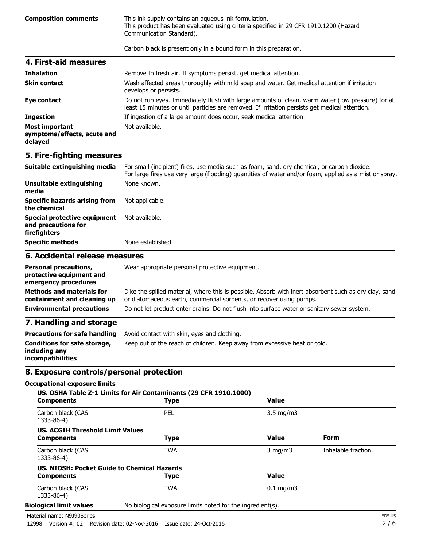**Composition comments** This ink supply contains an aqueous ink formulation. This product has been evaluated using criteria specified in 29 CFR 1910.1200 (Hazard Communication Standard).

Carbon black is present only in a bound form in this preparation.

| 4. First-aid measures                                           |                                                                                                                                                                                                    |
|-----------------------------------------------------------------|----------------------------------------------------------------------------------------------------------------------------------------------------------------------------------------------------|
| <b>Inhalation</b>                                               | Remove to fresh air. If symptoms persist, get medical attention.                                                                                                                                   |
| <b>Skin contact</b>                                             | Wash affected areas thoroughly with mild soap and water. Get medical attention if irritation<br>develops or persists.                                                                              |
| Eye contact                                                     | Do not rub eyes. Immediately flush with large amounts of clean, warm water (low pressure) for at<br>least 15 minutes or until particles are removed. If irritation persists get medical attention. |
| <b>Ingestion</b>                                                | If ingestion of a large amount does occur, seek medical attention.                                                                                                                                 |
| <b>Most important</b><br>symptoms/effects, acute and<br>delayed | Not available.                                                                                                                                                                                     |

#### **5. Fire-fighting measures**

| Suitable extinguishing media                                        | For small (incipient) fires, use media such as foam, sand, dry chemical, or carbon dioxide.<br>For large fires use very large (flooding) quantities of water and/or foam, applied as a mist or spray. |
|---------------------------------------------------------------------|-------------------------------------------------------------------------------------------------------------------------------------------------------------------------------------------------------|
| Unsuitable extinguishing<br>media                                   | None known.                                                                                                                                                                                           |
| <b>Specific hazards arising from</b><br>the chemical                | Not applicable.                                                                                                                                                                                       |
| Special protective equipment<br>and precautions for<br>firefighters | Not available.                                                                                                                                                                                        |
| <b>Specific methods</b>                                             | None established.                                                                                                                                                                                     |

#### **6. Accidental release measures**

| <b>Personal precautions,</b><br>protective equipment and<br>emergency procedures | Wear appropriate personal protective equipment.                                                                                                                              |
|----------------------------------------------------------------------------------|------------------------------------------------------------------------------------------------------------------------------------------------------------------------------|
| <b>Methods and materials for</b><br>containment and cleaning up                  | Dike the spilled material, where this is possible. Absorb with inert absorbent such as dry clay, sand<br>or diatomaceous earth, commercial sorbents, or recover using pumps. |
| <b>Environmental precautions</b>                                                 | Do not let product enter drains. Do not flush into surface water or sanitary sewer system.                                                                                   |
| 7. Handling and storage                                                          |                                                                                                                                                                              |

#### **7. Handling and storage**

| Precautions for safe handling                                             | Avoid contact with skin, eyes and clothing.                               |
|---------------------------------------------------------------------------|---------------------------------------------------------------------------|
| <b>Conditions for safe storage,</b><br>includina anv<br>incompatibilities | Keep out of the reach of children. Keep away from excessive heat or cold. |

#### **8. Exposure controls/personal protection**

#### **Occupational exposure limits**

| <b>Components</b>                                            | <b>Type</b>                                                | <b>Value</b>       |                     |
|--------------------------------------------------------------|------------------------------------------------------------|--------------------|---------------------|
| Carbon black (CAS<br>1333-86-4)                              | PEL                                                        | $3.5 \text{ mg/m}$ |                     |
| <b>US. ACGIH Threshold Limit Values</b><br><b>Components</b> | <b>Type</b>                                                | Value              | Form                |
| Carbon black (CAS<br>1333-86-4)                              | <b>TWA</b>                                                 | $3 \text{ mg/m}$   | Inhalable fraction. |
|                                                              | US. NIOSH: Pocket Guide to Chemical Hazards                |                    |                     |
| <b>Components</b>                                            | <b>Type</b>                                                | <b>Value</b>       |                     |
| Carbon black (CAS<br>1333-86-4)                              | <b>TWA</b>                                                 | $0.1$ mg/m3        |                     |
| <b>Biological limit values</b>                               | No biological exposure limits noted for the ingredient(s). |                    |                     |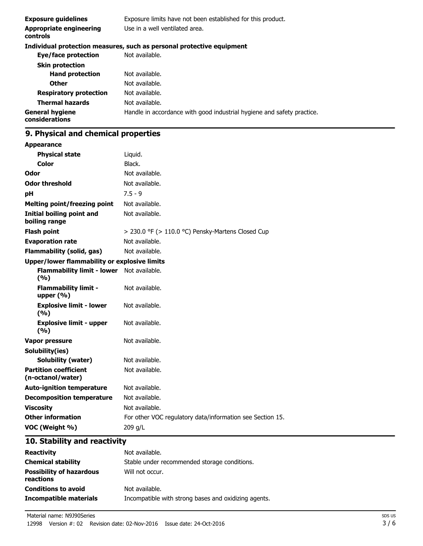| <b>Exposure guidelines</b>                 | Exposure limits have not been established for this product.            |
|--------------------------------------------|------------------------------------------------------------------------|
| <b>Appropriate engineering</b><br>controls | Use in a well ventilated area.                                         |
|                                            | Individual protection measures, such as personal protective equipment  |
| Eye/face protection                        | Not available.                                                         |
| <b>Skin protection</b>                     |                                                                        |
| <b>Hand protection</b>                     | Not available.                                                         |
| <b>Other</b>                               | Not available.                                                         |
| <b>Respiratory protection</b>              | Not available.                                                         |
| <b>Thermal hazards</b>                     | Not available.                                                         |
| <b>General hygiene</b><br>considerations   | Handle in accordance with good industrial hygiene and safety practice. |
|                                            |                                                                        |

## **9. Physical and chemical properties**

| <b>Appearance</b>                                 |                                                           |
|---------------------------------------------------|-----------------------------------------------------------|
| <b>Physical state</b>                             | Liquid.                                                   |
| <b>Color</b>                                      | Black.                                                    |
| Odor                                              | Not available.                                            |
| <b>Odor threshold</b>                             | Not available.                                            |
| рH                                                | $7.5 - 9$                                                 |
| <b>Melting point/freezing point</b>               | Not available.                                            |
| <b>Initial boiling point and</b><br>boiling range | Not available.                                            |
| <b>Flash point</b>                                | > 230.0 °F (> 110.0 °C) Pensky-Martens Closed Cup         |
| <b>Evaporation rate</b>                           | Not available.                                            |
| <b>Flammability (solid, gas)</b>                  | Not available.                                            |
| Upper/lower flammability or explosive limits      |                                                           |
| <b>Flammability limit - lower</b><br>(%)          | Not available.                                            |
| <b>Flammability limit -</b><br>upper $(% )$       | Not available.                                            |
| <b>Explosive limit - lower</b><br>(%)             | Not available.                                            |
| <b>Explosive limit - upper</b><br>(9/6)           | Not available.                                            |
| <b>Vapor pressure</b>                             | Not available.                                            |
| Solubility(ies)                                   |                                                           |
| <b>Solubility (water)</b>                         | Not available.                                            |
| <b>Partition coefficient</b><br>(n-octanol/water) | Not available.                                            |
| <b>Auto-ignition temperature</b>                  | Not available.                                            |
| <b>Decomposition temperature</b>                  | Not available.                                            |
| <b>Viscosity</b>                                  | Not available.                                            |
| <b>Other information</b>                          | For other VOC regulatory data/information see Section 15. |
| VOC (Weight %)                                    | 209 g/L                                                   |

## **10. Stability and reactivity**

| <b>Reactivity</b>                            | Not available.                                       |
|----------------------------------------------|------------------------------------------------------|
| <b>Chemical stability</b>                    | Stable under recommended storage conditions.         |
| <b>Possibility of hazardous</b><br>reactions | Will not occur.                                      |
| <b>Conditions to avoid</b>                   | Not available.                                       |
| Incompatible materials                       | Incompatible with strong bases and oxidizing agents. |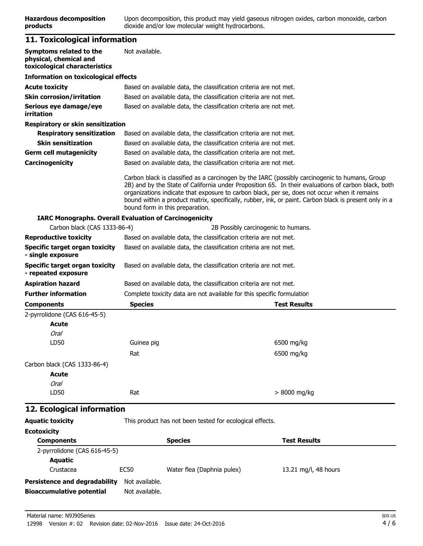### **11. Toxicological information**

| Symptoms related to the<br>physical, chemical and<br>toxicological characteristics | Not available.                                                    |                                                                                                                                                                                                                                                                                                                                                                                                                |
|------------------------------------------------------------------------------------|-------------------------------------------------------------------|----------------------------------------------------------------------------------------------------------------------------------------------------------------------------------------------------------------------------------------------------------------------------------------------------------------------------------------------------------------------------------------------------------------|
| <b>Information on toxicological effects</b>                                        |                                                                   |                                                                                                                                                                                                                                                                                                                                                                                                                |
| <b>Acute toxicity</b>                                                              | Based on available data, the classification criteria are not met. |                                                                                                                                                                                                                                                                                                                                                                                                                |
| <b>Skin corrosion/irritation</b>                                                   |                                                                   | Based on available data, the classification criteria are not met.                                                                                                                                                                                                                                                                                                                                              |
| Serious eye damage/eye<br>irritation                                               |                                                                   | Based on available data, the classification criteria are not met.                                                                                                                                                                                                                                                                                                                                              |
| Respiratory or skin sensitization                                                  |                                                                   |                                                                                                                                                                                                                                                                                                                                                                                                                |
| <b>Respiratory sensitization</b>                                                   |                                                                   | Based on available data, the classification criteria are not met.                                                                                                                                                                                                                                                                                                                                              |
| <b>Skin sensitization</b>                                                          |                                                                   | Based on available data, the classification criteria are not met.                                                                                                                                                                                                                                                                                                                                              |
| <b>Germ cell mutagenicity</b>                                                      |                                                                   | Based on available data, the classification criteria are not met.                                                                                                                                                                                                                                                                                                                                              |
| Carcinogenicity                                                                    |                                                                   | Based on available data, the classification criteria are not met.                                                                                                                                                                                                                                                                                                                                              |
|                                                                                    | bound form in this preparation.                                   | Carbon black is classified as a carcinogen by the IARC (possibly carcinogenic to humans, Group<br>2B) and by the State of California under Proposition 65. In their evaluations of carbon black, both<br>organizations indicate that exposure to carbon black, per se, does not occur when it remains<br>bound within a product matrix, specifically, rubber, ink, or paint. Carbon black is present only in a |
|                                                                                    | <b>IARC Monographs. Overall Evaluation of Carcinogenicity</b>     |                                                                                                                                                                                                                                                                                                                                                                                                                |
| Carbon black (CAS 1333-86-4)                                                       |                                                                   | 2B Possibly carcinogenic to humans.                                                                                                                                                                                                                                                                                                                                                                            |
| <b>Reproductive toxicity</b>                                                       |                                                                   | Based on available data, the classification criteria are not met.                                                                                                                                                                                                                                                                                                                                              |
| Specific target organ toxicity<br>- single exposure                                |                                                                   | Based on available data, the classification criteria are not met.                                                                                                                                                                                                                                                                                                                                              |
| <b>Specific target organ toxicity</b><br>- repeated exposure                       |                                                                   | Based on available data, the classification criteria are not met.                                                                                                                                                                                                                                                                                                                                              |
| <b>Aspiration hazard</b>                                                           |                                                                   | Based on available data, the classification criteria are not met.                                                                                                                                                                                                                                                                                                                                              |
| <b>Further information</b>                                                         |                                                                   | Complete toxicity data are not available for this specific formulation                                                                                                                                                                                                                                                                                                                                         |
| <b>Components</b>                                                                  | <b>Species</b>                                                    | <b>Test Results</b>                                                                                                                                                                                                                                                                                                                                                                                            |
| 2-pyrrolidone (CAS 616-45-5)<br><b>Acute</b><br><b>Oral</b>                        |                                                                   |                                                                                                                                                                                                                                                                                                                                                                                                                |
| LD50                                                                               | Guinea pig                                                        | 6500 mg/kg                                                                                                                                                                                                                                                                                                                                                                                                     |
|                                                                                    | Rat                                                               | 6500 mg/kg                                                                                                                                                                                                                                                                                                                                                                                                     |
| Carbon black (CAS 1333-86-4)                                                       |                                                                   |                                                                                                                                                                                                                                                                                                                                                                                                                |
| <b>Acute</b>                                                                       |                                                                   |                                                                                                                                                                                                                                                                                                                                                                                                                |
| Oral                                                                               |                                                                   |                                                                                                                                                                                                                                                                                                                                                                                                                |
| LD50                                                                               | Rat                                                               | > 8000 mg/kg                                                                                                                                                                                                                                                                                                                                                                                                   |
| 12. Ecological information                                                         |                                                                   |                                                                                                                                                                                                                                                                                                                                                                                                                |
| <b>Aquatic toxicity</b>                                                            | This product has not been tested for ecological effects.          |                                                                                                                                                                                                                                                                                                                                                                                                                |
| <b>Ecotoxicity</b>                                                                 |                                                                   |                                                                                                                                                                                                                                                                                                                                                                                                                |

| <b>Components</b>                                                        |                                  | <b>Species</b>             | <b>Test Results</b>  |
|--------------------------------------------------------------------------|----------------------------------|----------------------------|----------------------|
| 2-pyrrolidone (CAS 616-45-5)                                             |                                  |                            |                      |
| Aquatic                                                                  |                                  |                            |                      |
| Crustacea                                                                | EC50                             | Water flea (Daphnia pulex) | 13.21 mg/l, 48 hours |
| <b>Persistence and degradability</b><br><b>Bioaccumulative potential</b> | Not available.<br>Not available. |                            |                      |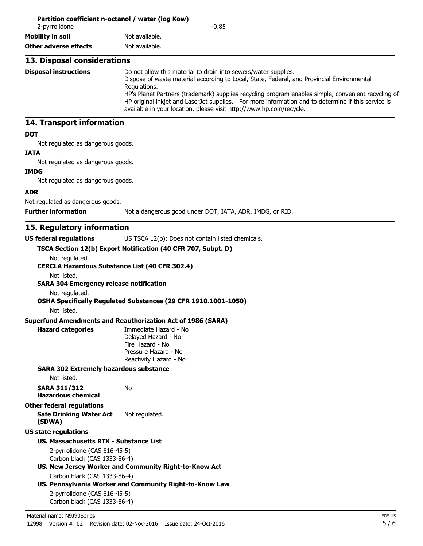| 2-pyrrolidone                                                                                                              | $-0.85$                                                                                                                                                                                                                                                                                                                                                                                                                                                           |
|----------------------------------------------------------------------------------------------------------------------------|-------------------------------------------------------------------------------------------------------------------------------------------------------------------------------------------------------------------------------------------------------------------------------------------------------------------------------------------------------------------------------------------------------------------------------------------------------------------|
| <b>Mobility in soil</b>                                                                                                    | Not available.                                                                                                                                                                                                                                                                                                                                                                                                                                                    |
| <b>Other adverse effects</b>                                                                                               | Not available.                                                                                                                                                                                                                                                                                                                                                                                                                                                    |
| 13. Disposal considerations                                                                                                |                                                                                                                                                                                                                                                                                                                                                                                                                                                                   |
| <b>Disposal instructions</b>                                                                                               | Do not allow this material to drain into sewers/water supplies.<br>Dispose of waste material according to Local, State, Federal, and Provincial Environmental<br>Regulations.<br>HP's Planet Partners (trademark) supplies recycling program enables simple, convenient recycling of<br>HP original inkjet and LaserJet supplies. For more information and to determine if this service is<br>available in your location, please visit http://www.hp.com/recycle. |
| 14. Transport information                                                                                                  |                                                                                                                                                                                                                                                                                                                                                                                                                                                                   |
| <b>DOT</b><br>Not regulated as dangerous goods.<br><b>IATA</b>                                                             |                                                                                                                                                                                                                                                                                                                                                                                                                                                                   |
| Not regulated as dangerous goods.<br><b>IMDG</b>                                                                           |                                                                                                                                                                                                                                                                                                                                                                                                                                                                   |
| Not regulated as dangerous goods.<br><b>ADR</b>                                                                            |                                                                                                                                                                                                                                                                                                                                                                                                                                                                   |
| Not regulated as dangerous goods.                                                                                          |                                                                                                                                                                                                                                                                                                                                                                                                                                                                   |
| <b>Further information</b>                                                                                                 | Not a dangerous good under DOT, IATA, ADR, IMDG, or RID.                                                                                                                                                                                                                                                                                                                                                                                                          |
| Not listed.<br><b>SARA 304 Emergency release notification</b><br>Not regulated.<br>Not listed.<br><b>Hazard categories</b> | OSHA Specifically Regulated Substances (29 CFR 1910.1001-1050)<br><b>Superfund Amendments and Reauthorization Act of 1986 (SARA)</b><br>Immediate Hazard - No<br>Delayed Hazard - No<br>Fire Hazard - No                                                                                                                                                                                                                                                          |
|                                                                                                                            | Pressure Hazard - No<br>Reactivity Hazard - No                                                                                                                                                                                                                                                                                                                                                                                                                    |
| <b>SARA 302 Extremely hazardous substance</b><br>Not listed.                                                               |                                                                                                                                                                                                                                                                                                                                                                                                                                                                   |
| <b>SARA 311/312</b><br><b>Hazardous chemical</b>                                                                           | No                                                                                                                                                                                                                                                                                                                                                                                                                                                                |
| <b>Other federal regulations</b><br><b>Safe Drinking Water Act</b><br>(SDWA)                                               | Not regulated.                                                                                                                                                                                                                                                                                                                                                                                                                                                    |
| <b>US state regulations</b>                                                                                                |                                                                                                                                                                                                                                                                                                                                                                                                                                                                   |
| <b>US. Massachusetts RTK - Substance List</b>                                                                              |                                                                                                                                                                                                                                                                                                                                                                                                                                                                   |
| 2-pyrrolidone (CAS 616-45-5)<br>Carbon black (CAS 1333-86-4)                                                               | US. New Jersey Worker and Community Right-to-Know Act                                                                                                                                                                                                                                                                                                                                                                                                             |
| Carbon black (CAS 1333-86-4)                                                                                               | US. Pennsylvania Worker and Community Right-to-Know Law                                                                                                                                                                                                                                                                                                                                                                                                           |
| 2-pyrrolidone (CAS 616-45-5)<br>Carbon black (CAS 1333-86-4)                                                               |                                                                                                                                                                                                                                                                                                                                                                                                                                                                   |